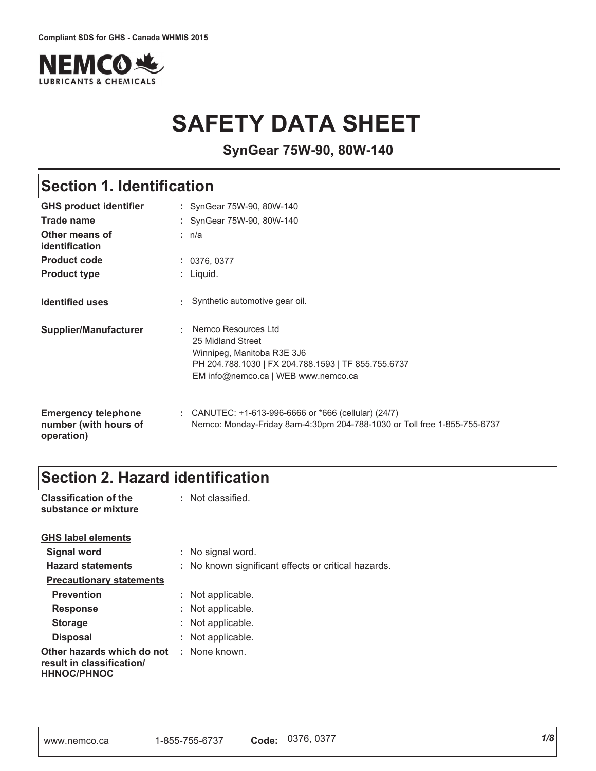

# **SAFETY DATA SHEET**

**SynGear 75W-90, 80W-140**

## **Section 1. Identification**

| <b>GHS product identifier</b>                                     | : SynGear 75W-90, 80W-140                                                                                                                                            |
|-------------------------------------------------------------------|----------------------------------------------------------------------------------------------------------------------------------------------------------------------|
| Trade name                                                        | : SynGear 75W-90, 80W-140                                                                                                                                            |
| Other means of<br>identification                                  | : n/a                                                                                                                                                                |
| <b>Product code</b>                                               | : 0376, 0377                                                                                                                                                         |
| <b>Product type</b>                                               | : Liquid.                                                                                                                                                            |
| <b>Identified uses</b>                                            | Synthetic automotive gear oil.                                                                                                                                       |
| Supplier/Manufacturer                                             | Nemco Resources Ltd<br>25 Midland Street<br>Winnipeg, Manitoba R3E 3J6<br>PH 204.788.1030   FX 204.788.1593   TF 855.755.6737<br>EM info@nemco.ca   WEB www.nemco.ca |
| <b>Emergency telephone</b><br>number (with hours of<br>operation) | CANUTEC: $+1-613-996-6666$ or $*666$ (cellular) (24/7)<br>Nemco: Monday-Friday 8am-4:30pm 204-788-1030 or Toll free 1-855-755-6737                                   |

## **Section 2. Hazard identification**

| <b>Classification of the</b><br>substance or mixture                          | : Not classified.                                   |
|-------------------------------------------------------------------------------|-----------------------------------------------------|
| <b>GHS label elements</b>                                                     |                                                     |
| Signal word                                                                   | : No signal word.                                   |
| <b>Hazard statements</b>                                                      | : No known significant effects or critical hazards. |
| <b>Precautionary statements</b>                                               |                                                     |
| <b>Prevention</b>                                                             | : Not applicable.                                   |
| <b>Response</b>                                                               | : Not applicable.                                   |
| <b>Storage</b>                                                                | : Not applicable.                                   |
| <b>Disposal</b>                                                               | : Not applicable.                                   |
| Other hazards which do not<br>result in classification/<br><b>HHNOC/PHNOC</b> | : None known.                                       |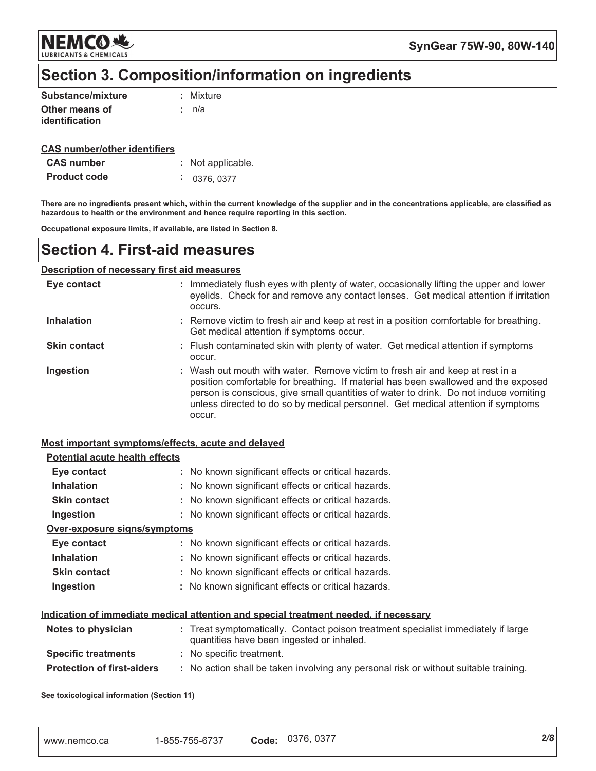**NEMCO头 LUBRICANTS & CHEMICALS** 

SynGear 75W-90, 80W-140

## Section 3. Composition/information on ingredients

| Substance/mixture | : Mixture |
|-------------------|-----------|
| Other means of    | : n/a     |
| identification    |           |

### **CAS number/other identifiers**

| <b>CAS</b> number   | : Not applicable.        |
|---------------------|--------------------------|
| <b>Product code</b> | $\frac{1}{2}$ 0376, 0377 |

There are no ingredients present which, within the current knowledge of the supplier and in the concentrations applicable, are classified as hazardous to health or the environment and hence require reporting in this section.

Occupational exposure limits, if available, are listed in Section 8.

### **Section 4. First-aid measures**

### **Description of necessary first aid measures**

| Eye contact         | : Immediately flush eyes with plenty of water, occasionally lifting the upper and lower<br>eyelids. Check for and remove any contact lenses. Get medical attention if irritation<br>occurs.                                                                                                                                                               |
|---------------------|-----------------------------------------------------------------------------------------------------------------------------------------------------------------------------------------------------------------------------------------------------------------------------------------------------------------------------------------------------------|
| <b>Inhalation</b>   | : Remove victim to fresh air and keep at rest in a position comfortable for breathing.<br>Get medical attention if symptoms occur.                                                                                                                                                                                                                        |
| <b>Skin contact</b> | : Flush contaminated skin with plenty of water. Get medical attention if symptoms<br>occur.                                                                                                                                                                                                                                                               |
| Ingestion           | : Wash out mouth with water. Remove victim to fresh air and keep at rest in a<br>position comfortable for breathing. If material has been swallowed and the exposed<br>person is conscious, give small quantities of water to drink. Do not induce vomiting<br>unless directed to do so by medical personnel. Get medical attention if symptoms<br>occur. |

### Most important symptoms/effects, acute and delayed

| <b>Potential acute health effects</b> |                                                                                                                                |
|---------------------------------------|--------------------------------------------------------------------------------------------------------------------------------|
| Eye contact                           | : No known significant effects or critical hazards.                                                                            |
| <b>Inhalation</b>                     | : No known significant effects or critical hazards.                                                                            |
| <b>Skin contact</b>                   | : No known significant effects or critical hazards.                                                                            |
| Ingestion                             | : No known significant effects or critical hazards.                                                                            |
| <u>Over-exposure signs/symptoms</u>   |                                                                                                                                |
| Eye contact                           | : No known significant effects or critical hazards.                                                                            |
| <b>Inhalation</b>                     | : No known significant effects or critical hazards.                                                                            |
| <b>Skin contact</b>                   | : No known significant effects or critical hazards.                                                                            |
| Ingestion                             | : No known significant effects or critical hazards.                                                                            |
|                                       | <u>Indication of immediate medical attention and special treatment needed, if necessary</u>                                    |
| Notes to physician                    | : Treat symptomatically. Contact poison treatment specialist immediately if large<br>quantities have been ingested or inhaled. |
| <b>Specific treatments</b>            | : No specific treatment.                                                                                                       |
| <b>Protection of first-aiders</b>     | : No action shall be taken involving any personal risk or without suitable training.                                           |
|                                       |                                                                                                                                |

See toxicological information (Section 11)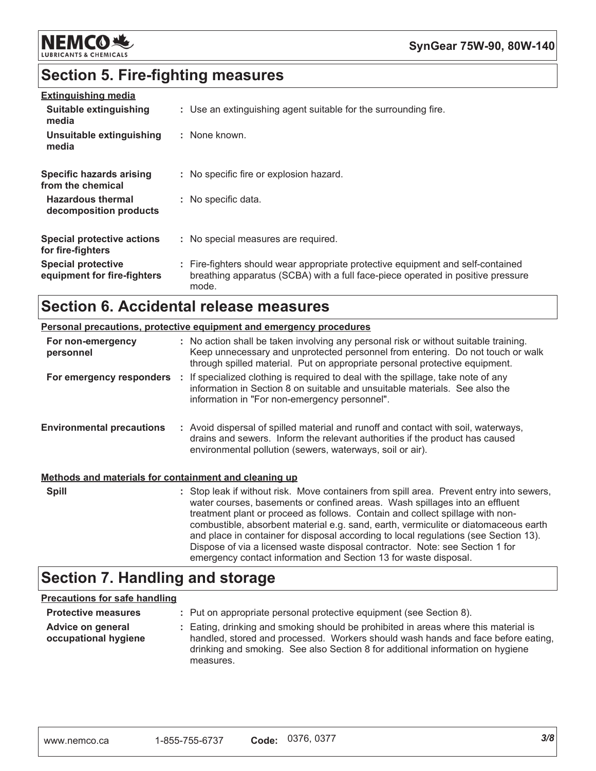

## **Section 5. Fire-fighting measures**

| <b>Extinguishing media</b>                               |                                                                                                                                                                             |
|----------------------------------------------------------|-----------------------------------------------------------------------------------------------------------------------------------------------------------------------------|
| Suitable extinguishing<br>media                          | : Use an extinguishing agent suitable for the surrounding fire.                                                                                                             |
| Unsuitable extinguishing<br>media                        | : None known.                                                                                                                                                               |
| Specific hazards arising<br>from the chemical            | : No specific fire or explosion hazard.                                                                                                                                     |
| <b>Hazardous thermal</b><br>decomposition products       | : No specific data.                                                                                                                                                         |
| <b>Special protective actions</b><br>for fire-fighters   | : No special measures are required.                                                                                                                                         |
| <b>Special protective</b><br>equipment for fire-fighters | : Fire-fighters should wear appropriate protective equipment and self-contained<br>breathing apparatus (SCBA) with a full face-piece operated in positive pressure<br>mode. |

## **Section 6. Accidental release measures**

|                                                       | <b>Personal precautions, protective equipment and emergency procedures</b>                                                                                                                                                                                                                                                                                                                                                                                                                                              |
|-------------------------------------------------------|-------------------------------------------------------------------------------------------------------------------------------------------------------------------------------------------------------------------------------------------------------------------------------------------------------------------------------------------------------------------------------------------------------------------------------------------------------------------------------------------------------------------------|
| For non-emergency<br>personnel                        | : No action shall be taken involving any personal risk or without suitable training.<br>Keep unnecessary and unprotected personnel from entering. Do not touch or walk<br>through spilled material. Put on appropriate personal protective equipment.                                                                                                                                                                                                                                                                   |
|                                                       | For emergency responders : If specialized clothing is required to deal with the spillage, take note of any<br>information in Section 8 on suitable and unsuitable materials. See also the<br>information in "For non-emergency personnel".                                                                                                                                                                                                                                                                              |
| <b>Environmental precautions</b>                      | : Avoid dispersal of spilled material and runoff and contact with soil, waterways,<br>drains and sewers. Inform the relevant authorities if the product has caused<br>environmental pollution (sewers, waterways, soil or air).                                                                                                                                                                                                                                                                                         |
| Methods and materials for containment and cleaning up |                                                                                                                                                                                                                                                                                                                                                                                                                                                                                                                         |
| <b>Spill</b>                                          | : Stop leak if without risk. Move containers from spill area. Prevent entry into sewers,<br>water courses, basements or confined areas. Wash spillages into an effluent<br>treatment plant or proceed as follows. Contain and collect spillage with non-<br>combustible, absorbent material e.g. sand, earth, vermiculite or diatomaceous earth<br>and place in container for disposal according to local regulations (see Section 13).<br>Dispose of via a licensed waste disposal contractor. Note: see Section 1 for |

## **Section 7. Handling and storage**

### **Precautions for safe handling**

| <b>Protective measures</b>                | : Put on appropriate personal protective equipment (see Section 8).                                                                                                                                                                                                    |
|-------------------------------------------|------------------------------------------------------------------------------------------------------------------------------------------------------------------------------------------------------------------------------------------------------------------------|
| Advice on general<br>occupational hygiene | : Eating, drinking and smoking should be prohibited in areas where this material is<br>handled, stored and processed. Workers should wash hands and face before eating,<br>drinking and smoking. See also Section 8 for additional information on hygiene<br>measures. |

emergency contact information and Section 13 for waste disposal.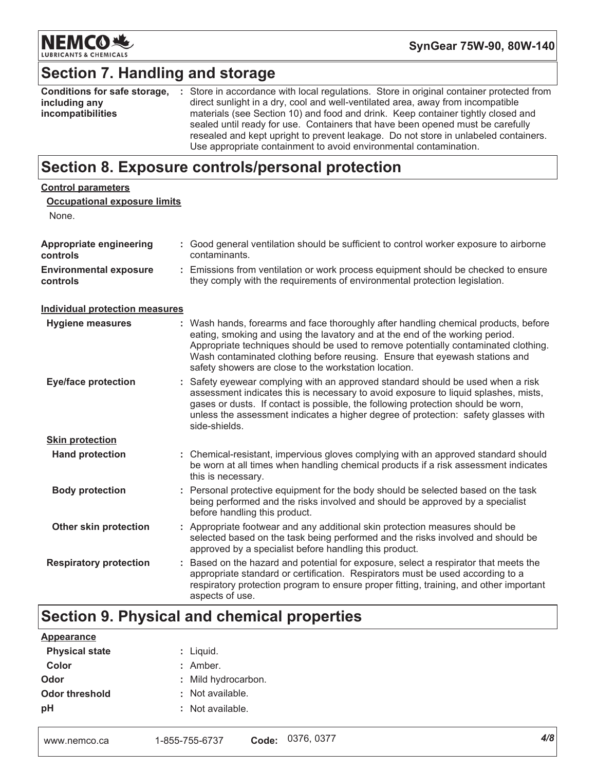

SynGear 75W-90, 80W-140

## **Section 7. Handling and storage**

| Conditions for safe storage, | : Store in accordance with local regulations. Store in original container protected from |
|------------------------------|------------------------------------------------------------------------------------------|
| including any                | direct sunlight in a dry, cool and well-ventilated area, away from incompatible          |
| incompatibilities            | materials (see Section 10) and food and drink. Keep container tightly closed and         |
|                              | sealed until ready for use. Containers that have been opened must be carefully           |
|                              | resealed and kept upright to prevent leakage. Do not store in unlabeled containers.      |
|                              | Use appropriate containment to avoid environmental contamination.                        |

## Section 8. Exposure controls/personal protection

| <b>Control parameters</b>                  |                                                                                                                                                                                                                                                                                                                                                                                                   |
|--------------------------------------------|---------------------------------------------------------------------------------------------------------------------------------------------------------------------------------------------------------------------------------------------------------------------------------------------------------------------------------------------------------------------------------------------------|
| <b>Occupational exposure limits</b>        |                                                                                                                                                                                                                                                                                                                                                                                                   |
| None.                                      |                                                                                                                                                                                                                                                                                                                                                                                                   |
| <b>Appropriate engineering</b><br>controls | : Good general ventilation should be sufficient to control worker exposure to airborne<br>contaminants.                                                                                                                                                                                                                                                                                           |
| <b>Environmental exposure</b><br>controls  | : Emissions from ventilation or work process equipment should be checked to ensure<br>they comply with the requirements of environmental protection legislation.                                                                                                                                                                                                                                  |
| <b>Individual protection measures</b>      |                                                                                                                                                                                                                                                                                                                                                                                                   |
| <b>Hygiene measures</b>                    | : Wash hands, forearms and face thoroughly after handling chemical products, before<br>eating, smoking and using the lavatory and at the end of the working period.<br>Appropriate techniques should be used to remove potentially contaminated clothing.<br>Wash contaminated clothing before reusing. Ensure that eyewash stations and<br>safety showers are close to the workstation location. |
| <b>Eye/face protection</b>                 | : Safety eyewear complying with an approved standard should be used when a risk<br>assessment indicates this is necessary to avoid exposure to liquid splashes, mists,<br>gases or dusts. If contact is possible, the following protection should be worn,<br>unless the assessment indicates a higher degree of protection: safety glasses with<br>side-shields.                                 |
| <b>Skin protection</b>                     |                                                                                                                                                                                                                                                                                                                                                                                                   |
| <b>Hand protection</b>                     | : Chemical-resistant, impervious gloves complying with an approved standard should<br>be worn at all times when handling chemical products if a risk assessment indicates<br>this is necessary.                                                                                                                                                                                                   |
| <b>Body protection</b>                     | : Personal protective equipment for the body should be selected based on the task<br>being performed and the risks involved and should be approved by a specialist<br>before handling this product.                                                                                                                                                                                               |
| Other skin protection                      | : Appropriate footwear and any additional skin protection measures should be<br>selected based on the task being performed and the risks involved and should be<br>approved by a specialist before handling this product.                                                                                                                                                                         |
| <b>Respiratory protection</b>              | : Based on the hazard and potential for exposure, select a respirator that meets the<br>appropriate standard or certification. Respirators must be used according to a<br>respiratory protection program to ensure proper fitting, training, and other important<br>aspects of use.                                                                                                               |

# Section 9. Physical and chemical properties

| <b>Appearance</b>     |                     |
|-----------------------|---------------------|
| <b>Physical state</b> | : Liquid.           |
| Color                 | $:$ Amber.          |
| Odor                  | : Mild hydrocarbon. |
| <b>Odor threshold</b> | : Not available.    |
| рH                    | : Not available.    |
|                       |                     |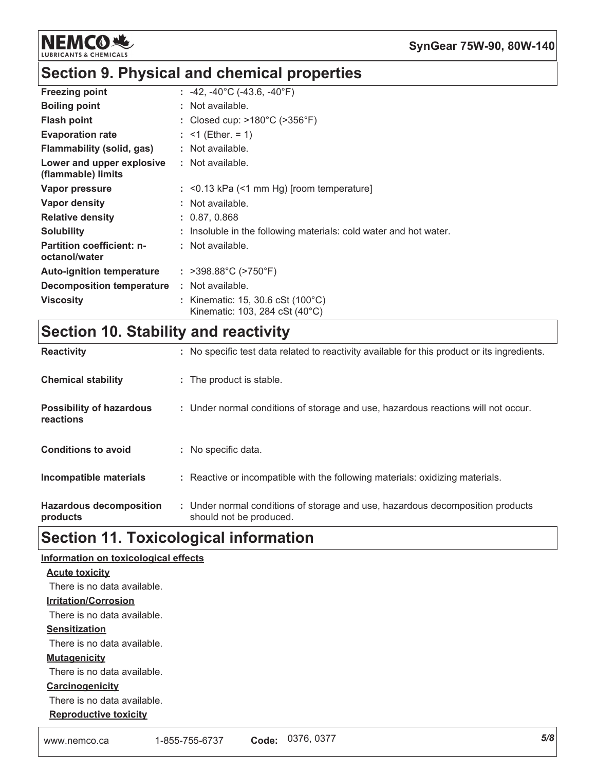

## Section 9. Physical and chemical properties

| <b>Freezing point</b>                             | : $-42$ , $-40^{\circ}$ C ( $-43.6$ , $-40^{\circ}$ F)                       |
|---------------------------------------------------|------------------------------------------------------------------------------|
| <b>Boiling point</b>                              | : Not available.                                                             |
| <b>Flash point</b>                                | : Closed cup: $>180^{\circ}$ C ( $>356^{\circ}$ F)                           |
| <b>Evaporation rate</b>                           | : $\leq 1$ (Ether. = 1)                                                      |
| Flammability (solid, gas)                         | : Not available.                                                             |
| Lower and upper explosive<br>(flammable) limits   | $:$ Not available.                                                           |
| Vapor pressure                                    | $:$ <0.13 kPa (<1 mm Hg) [room temperature]                                  |
| Vapor density                                     | : Not available.                                                             |
| <b>Relative density</b>                           | : 0.87, 0.868                                                                |
| <b>Solubility</b>                                 | : Insoluble in the following materials: cold water and hot water.            |
| <b>Partition coefficient: n-</b><br>octanol/water | $:$ Not available.                                                           |
| <b>Auto-ignition temperature</b>                  | : $>398.88^{\circ}$ C ( $>750^{\circ}$ F)                                    |
| <b>Decomposition temperature</b>                  | $:$ Not available.                                                           |
| <b>Viscosity</b>                                  | : Kinematic: 15, 30.6 cSt $(100^{\circ}C)$<br>Kinematic: 103, 284 cSt (40°C) |

# **Section 10. Stability and reactivity**

| <b>Reactivity</b>                            | : No specific test data related to reactivity available for this product or its ingredients.              |
|----------------------------------------------|-----------------------------------------------------------------------------------------------------------|
| <b>Chemical stability</b>                    | : The product is stable.                                                                                  |
| <b>Possibility of hazardous</b><br>reactions | : Under normal conditions of storage and use, hazardous reactions will not occur.                         |
| <b>Conditions to avoid</b>                   | : No specific data.                                                                                       |
| Incompatible materials                       | : Reactive or incompatible with the following materials: oxidizing materials.                             |
| <b>Hazardous decomposition</b><br>products   | : Under normal conditions of storage and use, hazardous decomposition products<br>should not be produced. |

## **Section 11. Toxicological information**

| Information on toxicological effects |                |       |            |     |
|--------------------------------------|----------------|-------|------------|-----|
| <b>Acute toxicity</b>                |                |       |            |     |
| There is no data available.          |                |       |            |     |
| <b>Irritation/Corrosion</b>          |                |       |            |     |
| There is no data available.          |                |       |            |     |
| <b>Sensitization</b>                 |                |       |            |     |
| There is no data available.          |                |       |            |     |
| <b>Mutagenicity</b>                  |                |       |            |     |
| There is no data available.          |                |       |            |     |
| Carcinogenicity                      |                |       |            |     |
| There is no data available.          |                |       |            |     |
| <b>Reproductive toxicity</b>         |                |       |            |     |
| www.nemco.ca                         | 1-855-755-6737 | Code: | 0376, 0377 | 5/8 |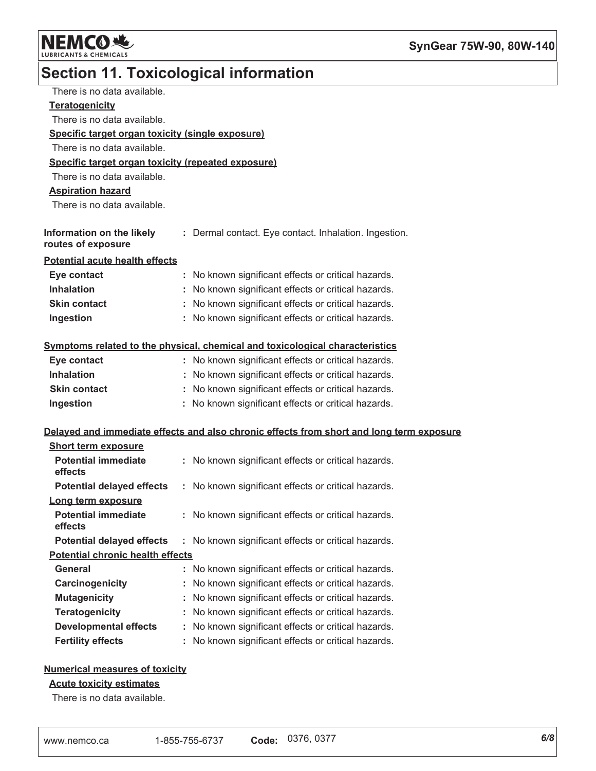

# Section 11. Toxicological information

| There is no data available.                        |    |                                                                                          |
|----------------------------------------------------|----|------------------------------------------------------------------------------------------|
| <b>Teratogenicity</b>                              |    |                                                                                          |
| There is no data available.                        |    |                                                                                          |
| Specific target organ toxicity (single exposure)   |    |                                                                                          |
| There is no data available.                        |    |                                                                                          |
| Specific target organ toxicity (repeated exposure) |    |                                                                                          |
| There is no data available.                        |    |                                                                                          |
| <b>Aspiration hazard</b>                           |    |                                                                                          |
| There is no data available.                        |    |                                                                                          |
|                                                    |    |                                                                                          |
| Information on the likely<br>routes of exposure    |    | : Dermal contact. Eye contact. Inhalation. Ingestion.                                    |
| <b>Potential acute health effects</b>              |    |                                                                                          |
| Eye contact                                        |    | : No known significant effects or critical hazards.                                      |
| <b>Inhalation</b>                                  |    | No known significant effects or critical hazards.                                        |
| Skin contact                                       |    | : No known significant effects or critical hazards.                                      |
| Ingestion                                          |    | : No known significant effects or critical hazards.                                      |
|                                                    |    | Symptoms related to the physical, chemical and toxicological characteristics             |
| Eye contact                                        |    | : No known significant effects or critical hazards.                                      |
| <b>Inhalation</b>                                  |    | : No known significant effects or critical hazards.                                      |
| <b>Skin contact</b>                                |    | : No known significant effects or critical hazards.                                      |
| Ingestion                                          |    | : No known significant effects or critical hazards.                                      |
|                                                    |    | Delayed and immediate effects and also chronic effects from short and long term exposure |
| <b>Short term exposure</b>                         |    |                                                                                          |
| <b>Potential immediate</b><br>effects              |    | : No known significant effects or critical hazards.                                      |
| <b>Potential delayed effects</b>                   |    | : No known significant effects or critical hazards.                                      |
| Long term exposure                                 |    |                                                                                          |
| <b>Potential immediate</b><br>effects              |    | : No known significant effects or critical hazards.                                      |
| <b>Potential delayed effects</b>                   | t. | No known significant effects or critical hazards.                                        |
| <b>Potential chronic health effects</b>            |    |                                                                                          |
| <b>General</b>                                     |    | No known significant effects or critical hazards.                                        |
| Carcinogenicity                                    |    | No known significant effects or critical hazards.                                        |
| <b>Mutagenicity</b>                                |    | No known significant effects or critical hazards.                                        |
| <b>Teratogenicity</b>                              |    | No known significant effects or critical hazards.                                        |
| <b>Developmental effects</b>                       |    | No known significant effects or critical hazards.                                        |
| <b>Fertility effects</b>                           |    | No known significant effects or critical hazards.                                        |

### **Numerical measures of toxicity**

### **Acute toxicity estimates**

There is no data available.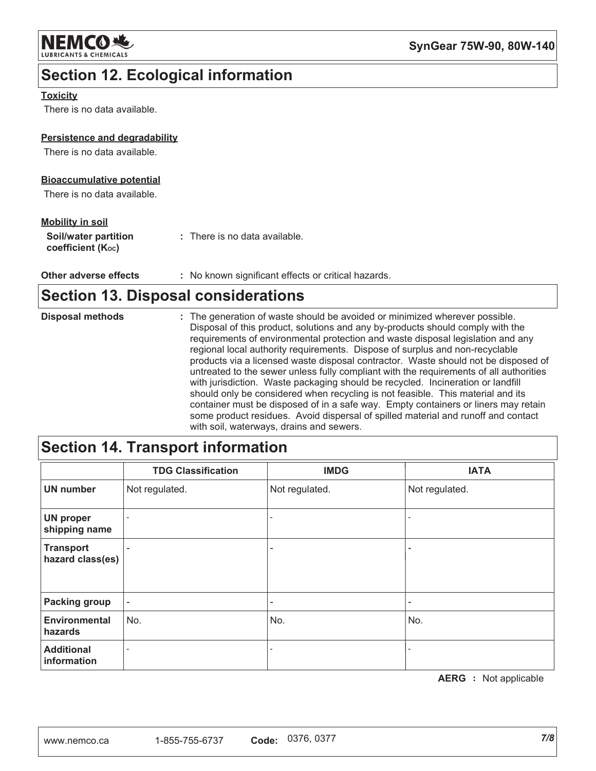

## **Section 12. Ecological information**

### **Toxicity**

There is no data available.

### Persistence and degradability

There is no data available.

### **Bioaccumulative potential**

There is no data available.

### **Mobility in soil**

Other adverse effects : No known significant effects or critical hazards.

## **Section 13. Disposal considerations**

| <b>Disposal methods</b> | : The generation of waste should be avoided or minimized wherever possible.<br>Disposal of this product, solutions and any by-products should comply with the<br>requirements of environmental protection and waste disposal legislation and any<br>regional local authority requirements. Dispose of surplus and non-recyclable<br>products via a licensed waste disposal contractor. Waste should not be disposed of<br>untreated to the sewer unless fully compliant with the requirements of all authorities<br>with jurisdiction. Waste packaging should be recycled. Incineration or landfill |
|-------------------------|-----------------------------------------------------------------------------------------------------------------------------------------------------------------------------------------------------------------------------------------------------------------------------------------------------------------------------------------------------------------------------------------------------------------------------------------------------------------------------------------------------------------------------------------------------------------------------------------------------|
|                         | should only be considered when recycling is not feasible. This material and its<br>container must be disposed of in a safe way. Empty containers or liners may retain<br>some product residues. Avoid dispersal of spilled material and runoff and contact<br>with soil waterways drains and sewers                                                                                                                                                                                                                                                                                                 |

## **Section 14. Transport information**

|                                      | <b>TDG Classification</b> | <b>IMDG</b>              | <b>IATA</b>    |
|--------------------------------------|---------------------------|--------------------------|----------------|
| <b>UN number</b>                     | Not regulated.            | Not regulated.           | Not regulated. |
| <b>UN proper</b><br>shipping name    |                           | $\overline{\phantom{a}}$ |                |
| <b>Transport</b><br>hazard class(es) |                           | $\overline{\phantom{0}}$ |                |
| <b>Packing group</b>                 | $\overline{\phantom{a}}$  | $\overline{\phantom{0}}$ |                |
| <b>Environmental</b><br>hazards      | No.                       | No.                      | No.            |
| <b>Additional</b><br>information     | $\overline{\phantom{a}}$  | $\overline{\phantom{a}}$ |                |

**AERG** : Not applicable